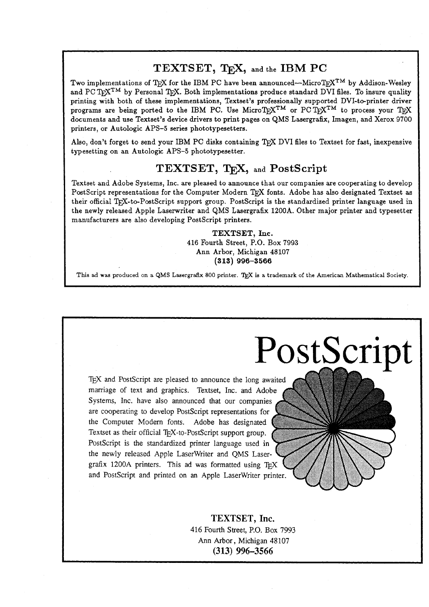### TEXTSET, T<sub>F</sub>X, and the IBM PC

Two implementations of T<sub>R</sub>X for the IBM PC have been announced—MicroT<sub>R</sub>X<sup>TM</sup> by Addison-Wesley and PC  $Tr X^{TM}$  by Personal TEX. Both implementations produce standard DVI files. To insure quality printing with both of these implementations, Textset's professionally supported DVI-to-printer driver programs are being ported to the IBM PC. Use MicroTrX<sup>TM</sup> or PCTrX<sup>TM</sup> to process your TrX documents and use Textset's device drivers to print pages on QMS Lasergrak, Imagen, and Xerox **9700**  printers, or Autologic APS-5 series phototypesetters.

Also, don't forget to send your IBM PC disks containing TFX DVI files to Textset for fast, inexpensive typesetting on an Autologic APS-5 phototypesetter.

### **TEXTSET,** TEX, and **Postscript**

Textset and Adobe Systems, Inc. are pleased to announce that our companies are cooperating to develop PostScript representations for the Computer Modern TFX fonts. Adobe has also designated Textset as their official TFX-to-PostScript support group. PostScript is the standardized printer language used in the newly released Apple Laserwriter and QMS Lasergrafix **1200A.** Other major printer and typesetter manufacturers are also developing PostScript printers.

> **TEXTSET, Inc. 416** Fourth Street, P.O. Box **7993**  Ann Arbor, Michigan **48107 (313) 996-3566**

**This ad was produced on a QMS Laserpafix 800 printer.** T& **is a trademark of the American Mathematical Society.** 

PostScript

TEX and PostScript are pleased to announce the long awaited marriage of text and graphics. Textset, Inc. and Adobe Systems, Inc. have also announced that our companies are cooperating to develop PostScript representations for the Computer Modern fonts. Adobe has designated Textset as their official T<sub>F</sub>X-to-PostScript support group. PostScript is the standardized printer language used in the newly released Apple LaserWriter and QMS Lasergrafix 1200A printers. This ad was formatted using and PostScript and printed on an Apple LaserWriter printer.

> TEXTSET, **Inc.**  416 Fourth Street, P.O. Box 7993 Ann Arbor, Michigan 48107 **(313) 996-3566**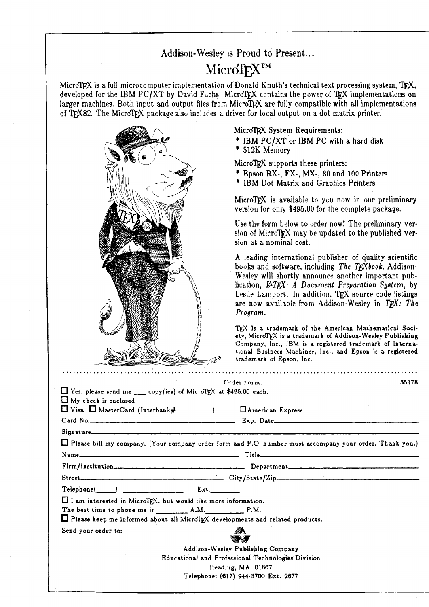### **Addison-** Wesley is Proud to Present.. .

## MicroTFXTM

MicroTFX is a full microcomputer implementation of Donald Knuth's technical text processing system, TFX, developed for the IBM PC/XT by David Fuchs. MicroTFX contains the power of TFX implementations on larger machines. Both input and output files from MicroTFX are fully compatible with all implementations of T<sub>F</sub>X82. The MicroT<sub>F</sub>X package also includes a driver for local output on a dot matrix printer.



MicroTFX System Requirements:

\* **IBM** PClXT or **IBM** PC with a hard **disk** \* **512K** Memory

MicroTFX supports these printers:

- \* Epson RX-, FX-, MX-, 80 and 100 Printers
- \* IBM Dot Matrix and Graphics Printers

MicroT $FX$  is available to you now in our preliminary version for only \$495.00 for the complete package.

Use the form below to order now! The preliminary version of MicroTFX may be updated to the published version at a nominal cost.

**A** leading international publisher of quality scientific **bouku** and software, including *The T'book,* Addison-Wesley will shortly announce another important publication,  $\cancel{BTFX: A}$  *Document Preparation System, by* Leslie Lamport. In addition, TEX source code listings are now available from Addison-Wesley in TEX: The **Program.** 

TFX is a trademark of the American Mathematical Society, MicroTEX is a trademark of Addison-Wesley Publishing Company, Inc., IBM is a registered trademark of International Business Machines, Inc., and Epson is a registered trademark of Epron, Inc.

|                                                                               | Order Form                                                                                                | 35178 |
|-------------------------------------------------------------------------------|-----------------------------------------------------------------------------------------------------------|-------|
| $\Box$ Yes, please send me ____ copy(ies) of MicroTEX at \$495.00 each.       |                                                                                                           |       |
| $\Box$ My check is enclosed                                                   |                                                                                                           |       |
| $\Box$ Visa $\Box$ MasterCard (Interbank# $\Box$ )                            | <b>HAmerican Express</b>                                                                                  |       |
|                                                                               | Card No. 2008. 2009. Exp. Date                                                                            |       |
| Signature                                                                     |                                                                                                           |       |
|                                                                               | □ Please bill my company. (Your company order form and P.O. number must accompany your order. Thank you.) |       |
|                                                                               |                                                                                                           |       |
|                                                                               |                                                                                                           |       |
|                                                                               | Street                                                                                                    |       |
|                                                                               |                                                                                                           |       |
| I I am interested in MicroTEX, but would like more information.               |                                                                                                           |       |
|                                                                               |                                                                                                           |       |
| Please keep me informed about all MicroTEX developments and related products. |                                                                                                           |       |
| Send your order to:                                                           |                                                                                                           |       |
|                                                                               | M. M.                                                                                                     |       |
|                                                                               | Addison-Wesley Publishing Company                                                                         |       |
|                                                                               | Educational and Professional Technologies Division                                                        |       |
|                                                                               | Reading, MA. 01867                                                                                        |       |
|                                                                               |                                                                                                           |       |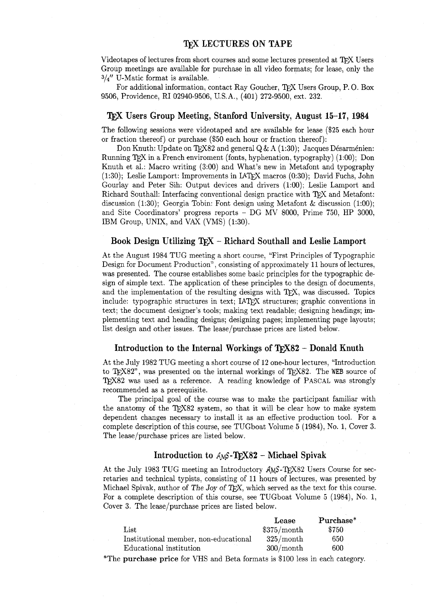Videotapes of lectures from short courses and some lectures presented at TEK Users Group meetings are available for purchase in all video formats; for lease, only the **314''** U-Matic format is available.

For additional information, contact Ray Goucher, TEX Users Group, P. 0. Box 9506, Providence, RI 02940-9506, U. S. A., (401) 272-9500, ext. 232.

#### **TEX Users Group Meeting, Stanford University, August 15-17, 1984**

The following sessions were videotaped and are available for lease (\$25 each hour or fraction thereof) or purchase (\$50 each hour or fraction thereof):

Don Knuth: Update on TFX82 and general Q & A (1:30); Jacques Désarménien: Running  $TrX$  in a French enviroment (fonts, hyphenation, typography) (1:00); Don Knuth et al.: Macro writing (3:OO) and What's new in Metafont and typography  $(1:30)$ ; Leslie Lamport: Improvements in LAT<sub>EX</sub> macros  $(0:30)$ ; David Fuchs, John Gourlay and Peter Sih: Output devices and drivers (i:OO); Leslie Lamport and Richard Southall: Interfacing conventional design practice with TFX and Metafont: discussion (1:30); Georgia Tobin: Font design using Metafont & discussion (1:OO); and Site Coordinators' progress reports - DG MV 8000, Prime 750, HP 3000, IBM Group, UNIX, and VAX (VMS) (1:30).

#### **Book Design Utilizing TFX - Richard Southall and Leslie Lamport**

At the August 1984 TUG meeting a short course: "First Principles of Typographic Design for Document Production", consisting of approximately 11 hours of lectures, was presented. The course establishes some basic principles for the typographic design of simple text. The application of these principles to the design of documents, and the implementation of the resulting designs with TFX, was discussed. Topics include: typographic structures in text; IATFX structures; graphic conventions in text; the document designer's tools; making text readable; designing headings; implementing text and heading designs; designing pages; implementing page layouts; list design and other issues. The lease/purchase prices are listed below.

#### **Introduction to the Internal Workings of TrX82 – Donald Knuth**

At the July 1982 TUG meeting a short course of 12 one-hour lectures, "Introduction to TFX82", was presented on the internal workings of TEX82. The WEB source of TFX82 was used as a reference. A reading knowledge of PASCAL was strongly recommended as a prerequisite.

The principal goal of the course was to make the participant familiar with the anatomy of the  $T_F X82$  system, so that it will be clear how to make system dependent changes necessary to install it as an effective production tool. For a complete description of this course, see TUGboat Volume 5 (1984), No. 1, Cover 3. The lease/purchase prices are listed below.

### Introduction to  $AMS$ -TFX82 - Michael Spivak

At the July 1983 TUG meeting an Introductory  $AMS$ -TFX82 Users Course for secretaries and technical typists, consisting of 11 hours of lectures, was presented by Michael Spivak, author of The Joy of T $FX$ , which served as the text for this course. For a complete description of this course, see TUGboat Volume 5 (1984), No. 1, Cover **3.** The lease/purchase prices are listed below.

|                                       | Lease       | Purchase* |
|---------------------------------------|-------------|-----------|
| $_{\rm List}$                         | \$375/month | \$750     |
| Institutional member, non-educational | 325/month   | 650       |
| Educational institution               | 300/month   | 600       |

\*The **purchase price** for VHS and Beta formats is \$100 less in each category.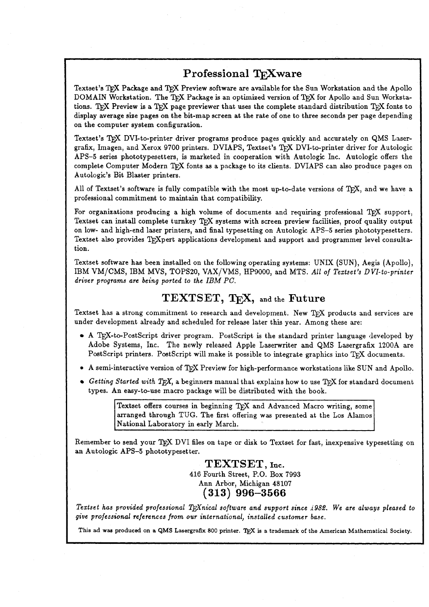### **Professional TFXware**

Textset's TFX Package and TFX Preview software are available for the Sun Workstation and the Apollo DOMAIN Workstation. The TRX Package is an optimized version of TRX for Apollo and Sun Workstations. TEX Preview is a TEX page previewer that uses the complete standard distribution TEX fonts to display average size pages on the bit-map screen at the rate of one to three seconds per page depending on the computer system configuration.

Textset's TEX DVI-to-printer driver programs produce pages quickly and accurately on QMS Lasergrafix, Imagen, and Xerox 9700 printers. DVIAPS, Textset's TFX DVI-to-printer driver for Autologic APS-5 series phototypesetters, is marketed in cooperation with Autologic Inc. Autologic offers the complete Computer Modern TFX fonts as a package to its clients. DVIAPS can also produce pages on Autologic's Bit Blaster printers.

All of Textset's software is fully compatible with the most up-to-date versions of TFX, and we have a professional commitment to maintain that compatibility.

For organizations producing a high volume of documents and requiring professional  $T_F X$  support, Textset can install complete turnkey TEX systems with screen preview facilities, proof quality output on low- and high-end laser printers, and final typesetting on Autologic APS-5 series phototypesetters. Textset also provides T<sub>R</sub>Xpert applications development and support and programmer level consultation.

Textset software has been installed on the following operating systems: UNIX (SUN), Aegis (Apollo), IBM VM/CMS, IBM MVS, TOPSZO, VAX/VMS, HP9000, and MTS. *All of Teztset's DVI-to-printer driver programs are being ported to the IBM PC.* 

### **TEXTSET, QX,** and the **Future**

Textset has a strong commitment to research and development. New TEX products and services are under development already and scheduled for release later this year. Among these are:

- $\bullet$  A T<sub>E</sub>X-to-PostScript driver program. PostScript is the standard printer language developed by Adobe Systems, Inc. The newly released Apple Laserwriter and QMS Lasergrafix 1200A are PostScript printers. PostScript will make it possible to integrate graphics into TFX documents.
- A semi-interactive version of TFX Preview for high-performance workstations like SUN and Apollo.
- $\bullet$  *Getting Started with TFX*, a beginners manual that explains how to use TFX for standard document types. An easy-to-use macro package will be distributed with the book.

Textset offers courses in beginning TEX and Advanced Macro writing, some arranged through TUG. The first offering was presented at the Los Alamos National Laboratory in early March.

Remember to send your TEX DVI files on tape or disk to Textset for fast, inexpensive typesetting on an Autologic APS-5 phototypesetter.

> $TEXTSET, Inc.$ 416 Fourth Street, P.O. Box 7993 Ann Arbor, Michigan 48107 **(313) 996-3566**

I *Teztset has provided professional Wnical software and support since* **i982.** *We are always pleased to give professional references from our international, installed customer base.* 

This ad was produced on a QMS Lasergrafix 800 printer. TEX is a trademark of the American Mathematical Society.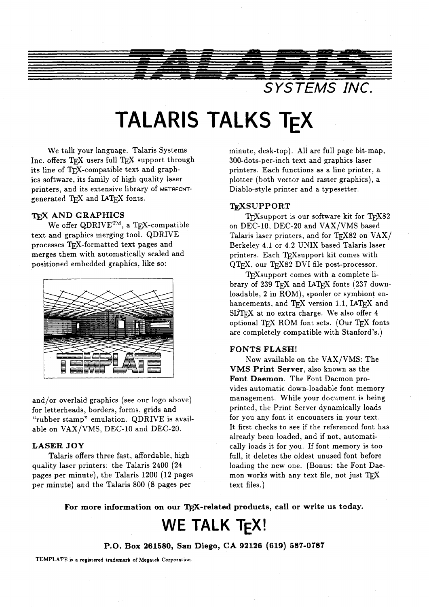

# **TALARIS TALKS TFX**

We talk your language. Talaris Systems Inc. offers  $TrX$  users full  $TrX$  support through its line of TFX-compatible text and graphics software, its family of high quality laser printers, and its extensive library of **METRFONT**generated T<sub>F</sub>X and LAT<sub>E</sub>X fonts.

### T<sub>F</sub>X AND GRAPHICS

We offer QDRIVE<sup>TM</sup>, a T<sub>F</sub>X-compatible text and graphics merging tool. QDRIVE processes TFX-formatted text pages and merges them with automatically scaled and positioned embedded graphics, like so:



and/or overlaid graphics (see our logo above) for letterheads, borders, forms, grids and "rubber stamp" emulation. QDRIVE is available on VAX/VMS, DEC-10 and DEC-20.

### **LASER JOY**

Talaris offers three fast, affordable, high quality laser printers: the Talaris 2400 (24 pages per minute), the Talaris 1200 (12 pages per minute) and the Talaris 800 (8 pages per

minute, desk-top). All are full page bit-map, 300-dots-per-inch text and graphics laser printers. Each functions as a line printer, a plotter (both vector and raster graphics), a Diablo-style printer and a typesetter.

#### **TjijXSUPPORT**

 $T_F X$ support is our software kit for  $T_F X82$ on DEC-10, DEC-20 and VAX/VMS based Talaris laser printers, and for  $T_F X82$  on  $VAX/$ Berkeley 4.1 or 4.2 UNIX based Talaris laser printers. Each TFXsupport kit comes with QTFX, our TFX82 DVI file post-processor.

TEX support comes with a complete library of 239 TEX and LATEX fonts (237 downloadable, 2 in ROM), spooler or symbiont enhancements, and  $T_FX$  version 1.1, LAT $FX$  and  $S$ LiT<sub>E</sub>X at no extra charge. We also offer 4 optional TFX ROM font sets. (Our TFX fonts are completely compatible with Stanford's.)

### **FONTS FLASH!**

Now available on the VAX/VMS: The **VMS Print Server,** also known as the **Font Daemon.** The Font Daemon provides automatic down-loadable font memory management. While your document is being printed, the Print Server dynamically loads for you any font it encounters in your text. It first checks to see if the referenced font has already been loaded, and if not, automatically loads it for you. If font memory is too full, it deletes the oldest unused font before loading the new one. (Bonus: the Font Daemon works with any text file, not just TFX text files.)

For more information on our TEX-related products, call or write us today.

# **WE TALK TEX!**

**P.O. Box 261580, San Diego, CA 92126 (619) 587-0787** 

**TEMPLATE is a registered trademark of Megatek Corporation.**